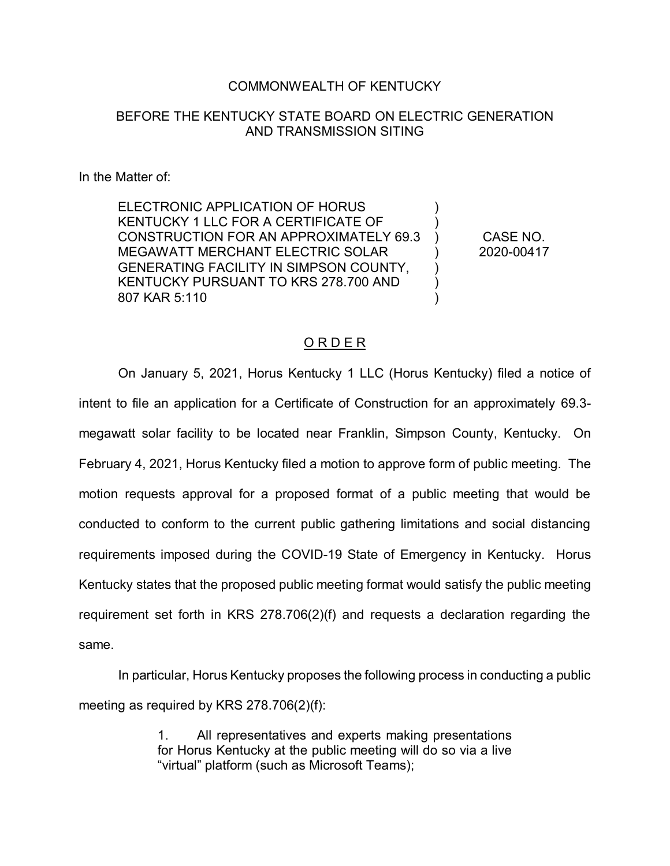## COMMONWEALTH OF KENTUCKY

## BEFORE THE KENTUCKY STATE BOARD ON ELECTRIC GENERATION AND TRANSMISSION SITING

In the Matter of:

ELECTRONIC APPLICATION OF HORUS KENTUCKY 1 LLC FOR A CERTIFICATE OF CONSTRUCTION FOR AN APPROXIMATELY 69.3 MEGAWATT MERCHANT ELECTRIC SOLAR GENERATING FACILITY IN SIMPSON COUNTY, KENTUCKY PURSUANT TO KRS 278.700 AND 807 KAR 5:110

CASE NO. 2020-00417

) ) ) ) ) ) )

## O R D E R

On January 5, 2021, Horus Kentucky 1 LLC (Horus Kentucky) filed a notice of intent to file an application for a Certificate of Construction for an approximately 69.3 megawatt solar facility to be located near Franklin, Simpson County, Kentucky. On February 4, 2021, Horus Kentucky filed a motion to approve form of public meeting. The motion requests approval for a proposed format of a public meeting that would be conducted to conform to the current public gathering limitations and social distancing requirements imposed during the COVID-19 State of Emergency in Kentucky. Horus Kentucky states that the proposed public meeting format would satisfy the public meeting requirement set forth in KRS 278.706(2)(f) and requests a declaration regarding the same.

In particular, Horus Kentucky proposes the following process in conducting a public meeting as required by KRS 278.706(2)(f):

> 1. All representatives and experts making presentations for Horus Kentucky at the public meeting will do so via a live "virtual" platform (such as Microsoft Teams);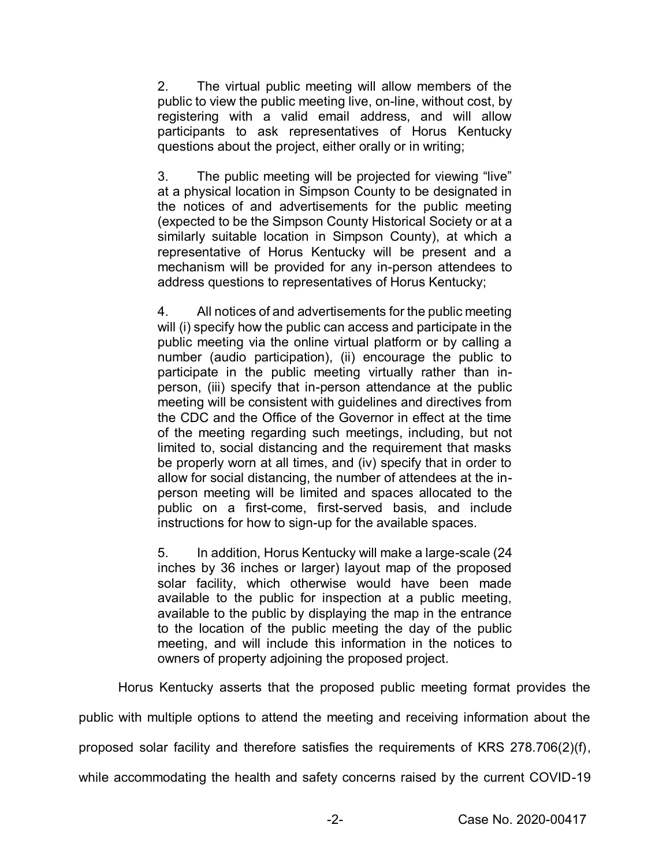2. The virtual public meeting will allow members of the public to view the public meeting live, on-line, without cost, by registering with a valid email address, and will allow participants to ask representatives of Horus Kentucky questions about the project, either orally or in writing;

3. The public meeting will be projected for viewing "live" at a physical location in Simpson County to be designated in the notices of and advertisements for the public meeting (expected to be the Simpson County Historical Society or at a similarly suitable location in Simpson County), at which a representative of Horus Kentucky will be present and a mechanism will be provided for any in-person attendees to address questions to representatives of Horus Kentucky;

4. All notices of and advertisements for the public meeting will (i) specify how the public can access and participate in the public meeting via the online virtual platform or by calling a number (audio participation), (ii) encourage the public to participate in the public meeting virtually rather than inperson, (iii) specify that in-person attendance at the public meeting will be consistent with guidelines and directives from the CDC and the Office of the Governor in effect at the time of the meeting regarding such meetings, including, but not limited to, social distancing and the requirement that masks be properly worn at all times, and (iv) specify that in order to allow for social distancing, the number of attendees at the inperson meeting will be limited and spaces allocated to the public on a first-come, first-served basis, and include instructions for how to sign-up for the available spaces.

5. In addition, Horus Kentucky will make a large-scale (24 inches by 36 inches or larger) layout map of the proposed solar facility, which otherwise would have been made available to the public for inspection at a public meeting, available to the public by displaying the map in the entrance to the location of the public meeting the day of the public meeting, and will include this information in the notices to owners of property adjoining the proposed project.

Horus Kentucky asserts that the proposed public meeting format provides the

public with multiple options to attend the meeting and receiving information about the

proposed solar facility and therefore satisfies the requirements of KRS 278.706(2)(f),

while accommodating the health and safety concerns raised by the current COVID-19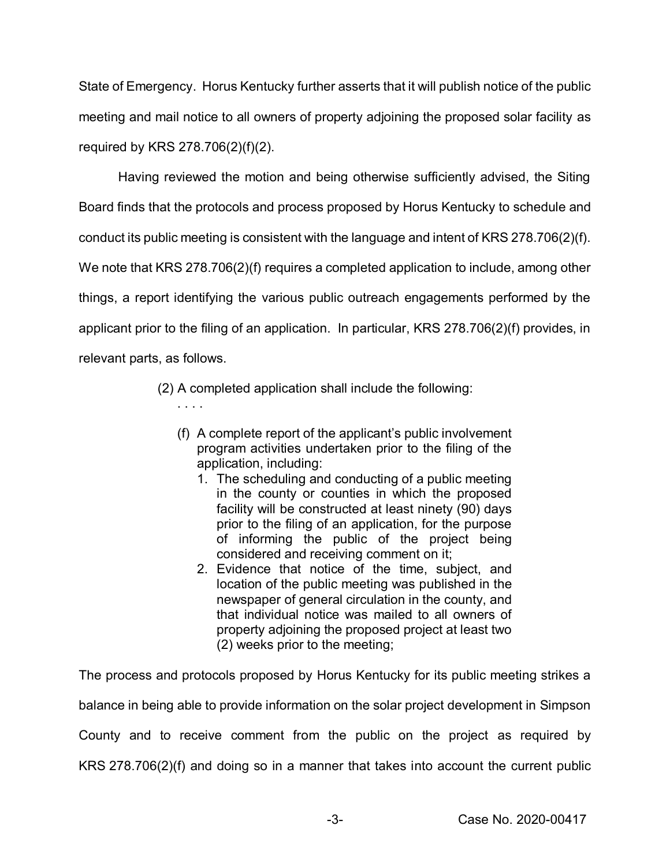State of Emergency. Horus Kentucky further asserts that it will publish notice of the public meeting and mail notice to all owners of property adjoining the proposed solar facility as required by KRS 278.706(2)(f)(2).

Having reviewed the motion and being otherwise sufficiently advised, the Siting Board finds that the protocols and process proposed by Horus Kentucky to schedule and conduct its public meeting is consistent with the language and intent of KRS 278.706(2)(f). We note that KRS 278.706(2)(f) requires a completed application to include, among other things, a report identifying the various public outreach engagements performed by the applicant prior to the filing of an application. In particular, KRS 278.706(2)(f) provides, in relevant parts, as follows.

(2) A completed application shall include the following:

. . . .

- (f) A complete report of the applicant's public involvement program activities undertaken prior to the filing of the application, including:
	- 1. The scheduling and conducting of a public meeting in the county or counties in which the proposed facility will be constructed at least ninety (90) days prior to the filing of an application, for the purpose of informing the public of the project being considered and receiving comment on it;
	- 2. Evidence that notice of the time, subject, and location of the public meeting was published in the newspaper of general circulation in the county, and that individual notice was mailed to all owners of property adjoining the proposed project at least two (2) weeks prior to the meeting;

The process and protocols proposed by Horus Kentucky for its public meeting strikes a balance in being able to provide information on the solar project development in Simpson County and to receive comment from the public on the project as required by KRS 278.706(2)(f) and doing so in a manner that takes into account the current public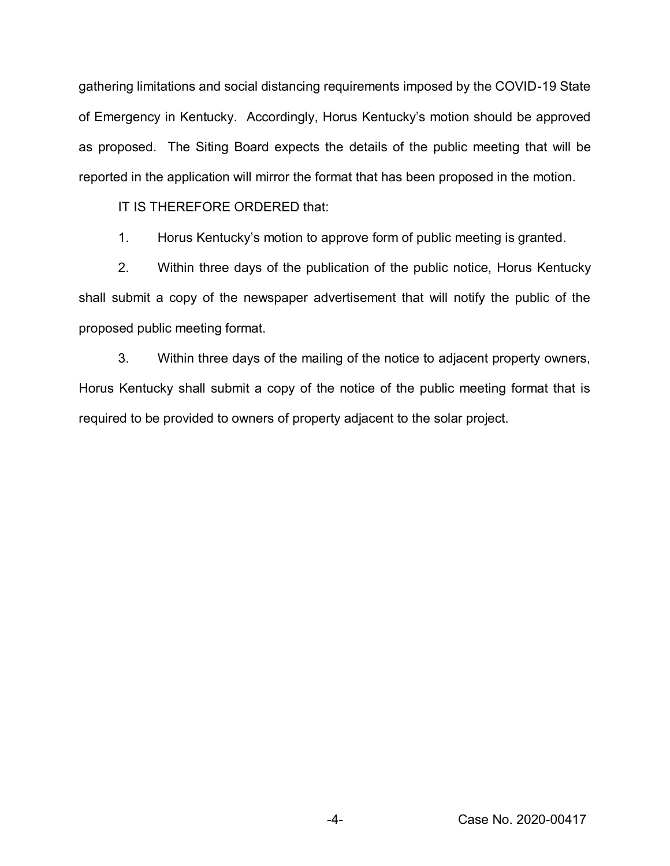gathering limitations and social distancing requirements imposed by the COVID-19 State of Emergency in Kentucky. Accordingly, Horus Kentucky's motion should be approved as proposed. The Siting Board expects the details of the public meeting that will be reported in the application will mirror the format that has been proposed in the motion.

IT IS THEREFORE ORDERED that:

1. Horus Kentucky's motion to approve form of public meeting is granted.

2. Within three days of the publication of the public notice, Horus Kentucky shall submit a copy of the newspaper advertisement that will notify the public of the proposed public meeting format.

3. Within three days of the mailing of the notice to adjacent property owners, Horus Kentucky shall submit a copy of the notice of the public meeting format that is required to be provided to owners of property adjacent to the solar project.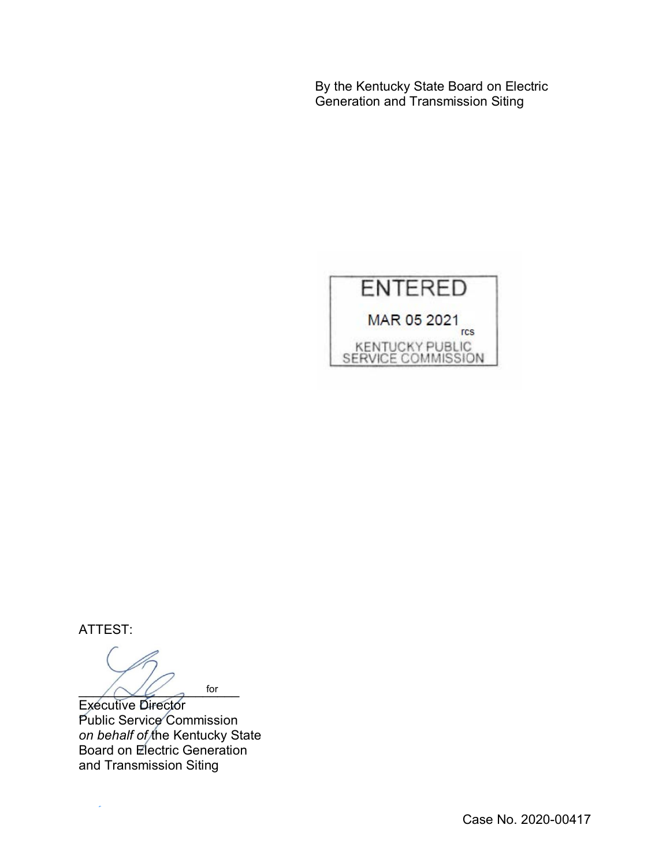By the Kentucky State Board on Electric Generation and Transmission Siting



ATTEST:

 $\bigwedge \bigvee \bigvee$  for for

Executive Director Public Service Commission *on behalf of* the Kentucky State Board on Electric Generation and Transmission Siting